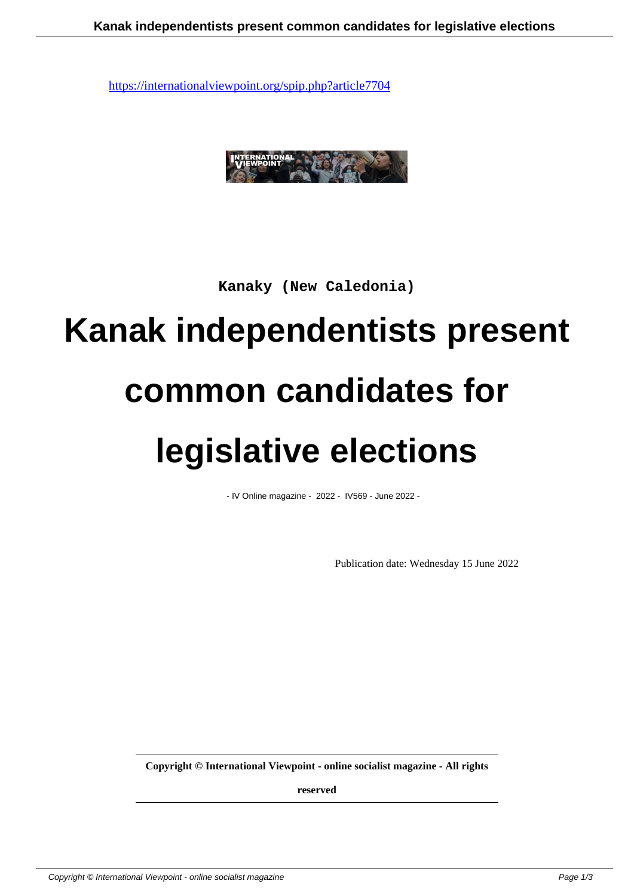

**Kanaky (New Caledonia)**

# **Kanak independentists present**

#### **common candidates for**

#### **legislative elections**

- IV Online magazine - 2022 - IV569 - June 2022 -

Publication date: Wednesday 15 June 2022

**Copyright © International Viewpoint - online socialist magazine - All rights**

**reserved**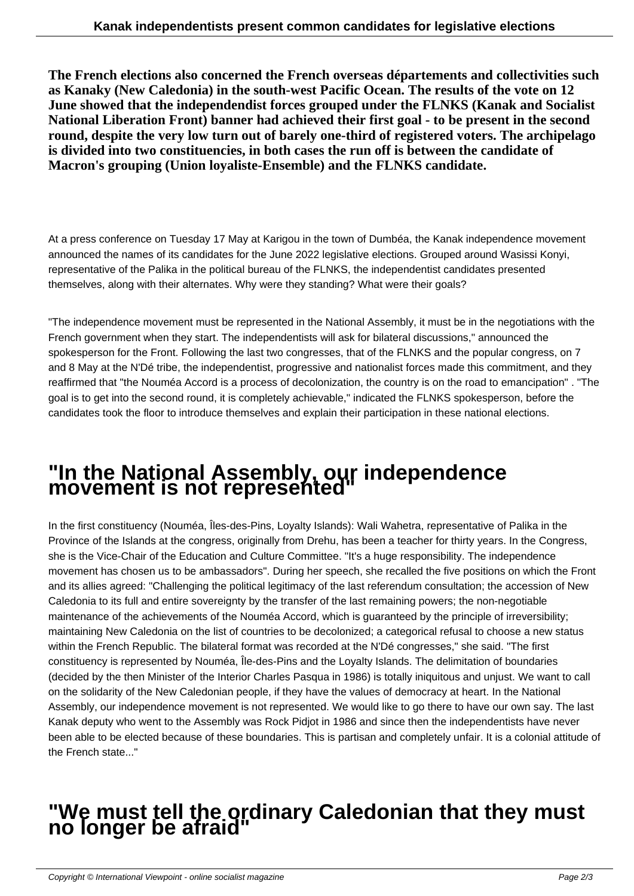**The French elections also concerned the French overseas départements and collectivities such as Kanaky (New Caledonia) in the south-west Pacific Ocean. The results of the vote on 12 June showed that the independendist forces grouped under the FLNKS (Kanak and Socialist National Liberation Front) banner had achieved their first goal - to be present in the second round, despite the very low turn out of barely one-third of registered voters. The archipelago is divided into two constituencies, in both cases the run off is between the candidate of Macron's grouping (Union loyaliste-Ensemble) and the FLNKS candidate.**

At a press conference on Tuesday 17 May at Karigou in the town of Dumbéa, the Kanak independence movement announced the names of its candidates for the June 2022 legislative elections. Grouped around Wasissi Konyi, representative of the Palika in the political bureau of the FLNKS, the independentist candidates presented themselves, along with their alternates. Why were they standing? What were their goals?

"The independence movement must be represented in the National Assembly, it must be in the negotiations with the French government when they start. The independentists will ask for bilateral discussions," announced the spokesperson for the Front. Following the last two congresses, that of the FLNKS and the popular congress, on 7 and 8 May at the N'Dé tribe, the independentist, progressive and nationalist forces made this commitment, and they reaffirmed that "the Nouméa Accord is a process of decolonization, the country is on the road to emancipation" . "The goal is to get into the second round, it is completely achievable," indicated the FLNKS spokesperson, before the candidates took the floor to introduce themselves and explain their participation in these national elections.

## **"In the National Assembly, our independence movement is not represented"**

In the first constituency (Nouméa, Îles-des-Pins, Loyalty Islands): Wali Wahetra, representative of Palika in the Province of the Islands at the congress, originally from Drehu, has been a teacher for thirty years. In the Congress, she is the Vice-Chair of the Education and Culture Committee. "It's a huge responsibility. The independence movement has chosen us to be ambassadors". During her speech, she recalled the five positions on which the Front and its allies agreed: "Challenging the political legitimacy of the last referendum consultation; the accession of New Caledonia to its full and entire sovereignty by the transfer of the last remaining powers; the non-negotiable maintenance of the achievements of the Nouméa Accord, which is guaranteed by the principle of irreversibility; maintaining New Caledonia on the list of countries to be decolonized; a categorical refusal to choose a new status within the French Republic. The bilateral format was recorded at the N'Dé congresses," she said. "The first constituency is represented by Nouméa, Île-des-Pins and the Loyalty Islands. The delimitation of boundaries (decided by the then Minister of the Interior Charles Pasqua in 1986) is totally iniquitous and unjust. We want to call on the solidarity of the New Caledonian people, if they have the values of democracy at heart. In the National Assembly, our independence movement is not represented. We would like to go there to have our own say. The last Kanak deputy who went to the Assembly was Rock Pidjot in 1986 and since then the independentists have never been able to be elected because of these boundaries. This is partisan and completely unfair. It is a colonial attitude of the French state..."

## **"We must tell the ordinary Caledonian that they must no longer be afraid"**